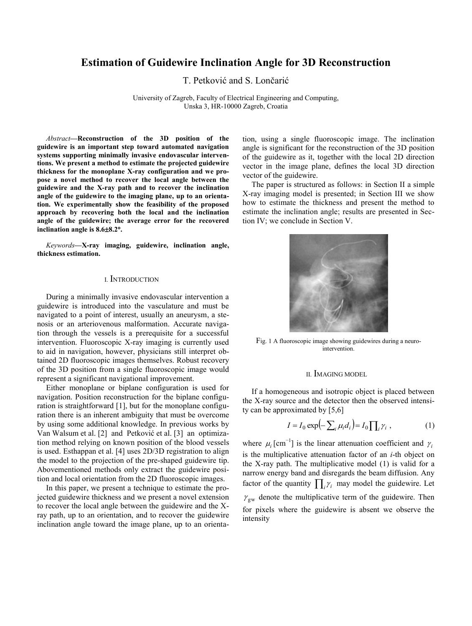# **Estimation of Guidewire Inclination Angle for 3D Reconstruction**

T. Petković and S. Lončarić

University of Zagreb, Faculty of Electrical Engineering and Computing, Unska 3, HR-10000 Zagreb, Croatia

*Abstract***—Reconstruction of the 3D position of the guidewire is an important step toward automated navigation systems supporting minimally invasive endovascular interventions. We present a method to estimate the projected guidewire thickness for the monoplane X-ray configuration and we propose a novel method to recover the local angle between the guidewire and the X-ray path and to recover the inclination angle of the guidewire to the imaging plane, up to an orientation. We experimentally show the feasibility of the proposed approach by recovering both the local and the inclination angle of the guidewire; the average error for the recovered inclination angle is 8.68.2.**

*Keywords***—X-ray imaging, guidewire, inclination angle, thickness estimation.**

#### I. INTRODUCTION

During a minimally invasive endovascular intervention a guidewire is introduced into the vasculature and must be navigated to a point of interest, usually an aneurysm, a stenosis or an arteriovenous malformation. Accurate navigation through the vessels is a prerequisite for a successful intervention. Fluoroscopic X-ray imaging is currently used to aid in navigation, however, physicians still interpret obtained 2D fluoroscopic images themselves. Robust recovery of the 3D position from a single fluoroscopic image would represent a significant navigational improvement.

Either monoplane or biplane configuration is used for navigation. Position reconstruction for the biplane configuration is straightforward [\[1\]](#page-3-0), but for the monoplane configuration there is an inherent ambiguity that must be overcome by using some additional knowledge. In previous works by Van Walsum et al. [\[2\]](#page-3-1) and Petković et al. [\[3\]](#page-3-2) an optimization method relying on known position of the blood vessels is used. Esthappan et al. [\[4\]](#page-3-3) uses 2D/3D registration to align the model to the projection of the pre-shaped guidewire tip. Abovementioned methods only extract the guidewire position and local orientation from the 2D fluoroscopic images.

In this paper, we present a technique to estimate the projected guidewire thickness and we present a novel extension to recover the local angle between the guidewire and the Xray path, up to an orientation, and to recover the guidewire inclination angle toward the image plane, up to an orientation, using a single fluoroscopic image. The inclination angle is significant for the reconstruction of the 3D position of the guidewire as it, together with the local 2D direction vector in the image plane, defines the local 3D direction vector of the guidewire.

The paper is structured as follows: in Section II a simple X-ray imaging model is presented; in Section III we show how to estimate the thickness and present the method to estimate the inclination angle; results are presented in Section IV; we conclude in Section V.



Fig. 1 A fluoroscopic image showing guidewires during a neurointervention.

#### <span id="page-0-0"></span>II. IMAGING MODEL

If a homogeneous and isotropic object is placed between the X-ray source and the detector then the observed intensity can be approximated by [\[5](#page-3-4)[,6\]](#page-3-5)

$$
I = I_0 \exp\left(-\sum_i \mu_i d_i\right) = I_0 \prod_i \gamma_i \tag{1}
$$

where  $\mu_i$  [cm<sup>-1</sup>] is the linear attenuation coefficient and  $\gamma_i$ is the multiplicative attenuation factor of an *i*-th object on the X-ray path. The multiplicative model [\(1\)](#page-0-0) is valid for a narrow energy band and disregards the beam diffusion. Any factor of the quantity  $\prod_i \gamma_i$  may model the guidewire. Let  $\gamma_{\rm gw}$  denote the multiplicative term of the guidewire. Then for pixels where the guidewire is absent we observe the intensity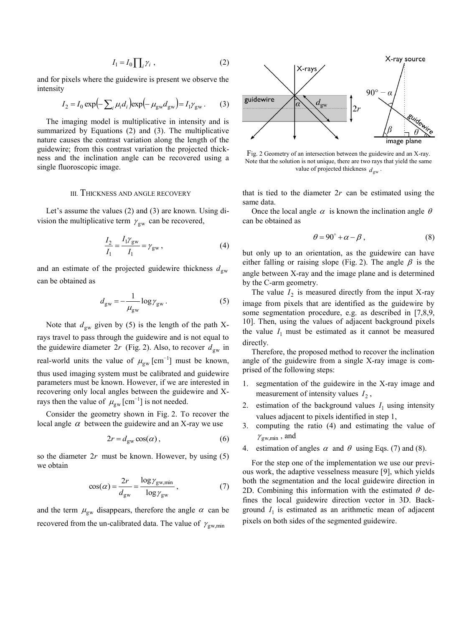$$
I_1 = I_0 \prod_i \gamma_i \tag{2}
$$

and for pixels where the guidewire is present we observe the intensity

$$
I_2 = I_0 \exp\left(-\sum_i \mu_i d_i\right) \exp\left(-\mu_{\rm gw} d_{\rm gw}\right) = I_1 \gamma_{\rm gw} \,. \tag{3}
$$

The imaging model is multiplicative in intensity and is summarized by Equations [\(2\)](#page-1-0) and [\(3\)](#page-1-1). The multiplicative nature causes the contrast variation along the length of the guidewire; from this contrast variation the projected thickness and the inclination angle can be recovered using a single fluoroscopic image.

## III. THICKNESS AND ANGLE RECOVERY

Let's assume the values [\(2\)](#page-1-0) and [\(3\)](#page-1-1) are known. Using division the multiplicative term  $\gamma_{\rm gw}$  can be recovered,

$$
\frac{I_2}{I_1} = \frac{I_1 \gamma_{\rm gw}}{I_1} = \gamma_{\rm gw} ,
$$
 (4)

and an estimate of the projected guidewire thickness  $d_{gw}$ can be obtained as

$$
d_{\rm gw} = -\frac{1}{\mu_{\rm gw}} \log \gamma_{\rm gw} \,. \tag{5}
$$

Note that  $d_{gw}$  given by [\(5\)](#page-1-2) is the length of the path Xrays travel to pass through the guidewire and is not equal to the guidewire diameter  $2r$  (Fig. [2\)](#page-1-3). Also, to recover  $d_{gw}$  in real-world units the value of  $\mu_{gw}$  [cm<sup>-1</sup>] must be known, thus used imaging system must be calibrated and guidewire parameters must be known. However, if we are interested in recovering only local angles between the guidewire and Xrays then the value of  $\mu_{gw}$  [cm<sup>-1</sup>] is not needed.

Consider the geometry shown in Fig. [2.](#page-1-3) To recover the local angle  $\alpha$  between the guidewire and an X-ray we use

$$
2r = d_{\rm gw} \cos(\alpha) \,, \tag{6}
$$

so the diameter  $2r$  must be known. However, by using  $(5)$ we obtain

$$
\cos(\alpha) = \frac{2r}{d_{\text{gw}}} = \frac{\log \gamma_{\text{gw,min}}}{\log \gamma_{\text{gw}}},\tag{7}
$$

and the term  $\mu_{gw}$  disappears, therefore the angle  $\alpha$  can be recovered from the un-calibrated data. The value of  $\gamma_{\text{gw,min}}$ 

<span id="page-1-1"></span><span id="page-1-0"></span>

<span id="page-1-3"></span>Fig. 2 Geometry of an intersection between the guidewire and an X-ray. Note that the solution is not unique, there are two rays that yield the same value of projected thickness  $d_{gw}$ .

that is tied to the diameter  $2r$  can be estimated using the same data.

Once the local angle  $\alpha$  is known the inclination angle  $\theta$ can be obtained as

<span id="page-1-6"></span>
$$
\theta = 90^{\circ} + \alpha - \beta , \qquad (8)
$$

<span id="page-1-4"></span>but only up to an orientation, as the guidewire can have either falling or raising slope (Fig. [2\)](#page-1-3). The angle  $\beta$  is the angle between X-ray and the image plane and is determined by the C-arm geometry.

<span id="page-1-2"></span>The value  $I_2$  is measured directly from the input X-ray image from pixels that are identified as the guidewire by some segmentation procedure, e.g. as described in [\[7](#page-3-6)[,8](#page-3-7)[,9,](#page-3-8) [10\]](#page-3-9). Then, using the values of adjacent background pixels the value  $I_1$  must be estimated as it cannot be measured directly.

Therefore, the proposed method to recover the inclination angle of the guidewire from a single X-ray image is comprised of the following steps:

- 1. segmentation of the guidewire in the X-ray image and measurement of intensity values  $I_2$ ,
- 2. estimation of the background values  $I_1$  using intensity values adjacent to pixels identified in step 1,
- 3. computing the ratio [\(4\)](#page-1-4) and estimating the value of  $\gamma_{\text{gw,min}}$ , and
- 4. estimation of angles  $\alpha$  and  $\theta$  using Eqs. [\(7\)](#page-1-5) and [\(8\)](#page-1-6).

<span id="page-1-5"></span>For the step one of the implementation we use our previous work, the adaptive vesselness measure [\[9\]](#page-3-8), which yields both the segmentation and the local guidewire direction in 2D. Combining this information with the estimated  $\theta$  defines the local guidewire direction vector in 3D. Background  $I_1$  is estimated as an arithmetic mean of adjacent pixels on both sides of the segmented guidewire.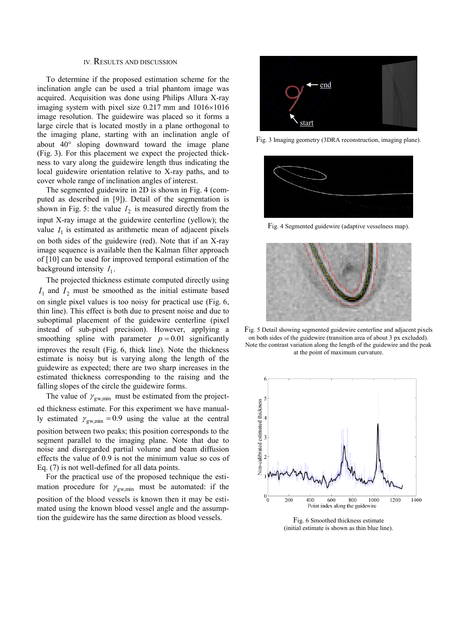# IV. RESULTS AND DISCUSSION

To determine if the proposed estimation scheme for the inclination angle can be used a trial phantom image was acquired. Acquisition was done using Philips Allura X-ray imaging system with pixel size  $0.217$  mm and  $1016\times1016$ image resolution. The guidewire was placed so it forms a large circle that is located mostly in a plane orthogonal to the imaging plane, starting with an inclination angle of about  $40^{\circ}$  sloping downward toward the image plane (Fig. [3\)](#page-2-0). For this placement we expect the projected thickness to vary along the guidewire length thus indicating the local guidewire orientation relative to X-ray paths, and to cover whole range of inclination angles of interest.

The segmented guidewire in 2D is shown in Fig. [4](#page-2-1) (computed as described in [\[9\]](#page-3-8)). Detail of the segmentation is shown in Fig. [5:](#page-2-2) the value  $I_2$  is measured directly from the input X-ray image at the guidewire centerline (yellow); the value  $I_1$  is estimated as arithmetic mean of adjacent pixels on both sides of the guidewire (red). Note that if an X-ray image sequence is available then the Kalman filter approach of [\[10\]](#page-3-9) can be used for improved temporal estimation of the background intensity  $I_1$ .

The projected thickness estimate computed directly using  $I_1$  and  $I_2$  must be smoothed as the initial estimate based on single pixel values is too noisy for practical use (Fig. [6,](#page-2-3) thin line). This effect is both due to present noise and due to suboptimal placement of the guidewire centerline (pixel instead of sub-pixel precision). However, applying a smoothing spline with parameter  $p = 0.01$  significantly improves the result (Fig. [6,](#page-2-3) thick line). Note the thickness estimate is noisy but is varying along the length of the guidewire as expected; there are two sharp increases in the estimated thickness corresponding to the raising and the falling slopes of the circle the guidewire forms.

The value of  $\gamma_{\text{gw,min}}$  must be estimated from the projected thickness estimate. For this experiment we have manually estimated  $\gamma_{\text{gw,min}} = 0.9$  using the value at the central position between two peaks; this position corresponds to the segment parallel to the imaging plane. Note that due to noise and disregarded partial volume and beam diffusion effects the value of 0.9 is not the minimum value so cos of Eq. [\(7\)](#page-1-5) is not well-defined for all data points.

For the practical use of the proposed technique the estimation procedure for  $\gamma_{\text{gw,min}}$  must be automated: if the position of the blood vessels is known then it may be estimated using the known blood vessel angle and the assumption the guidewire has the same direction as blood vessels.



<span id="page-2-0"></span>Fig. 3 Imaging geometry (3DRA reconstruction, imaging plane).



Fig. 4 Segmented guidewire (adaptive vesselness map).

<span id="page-2-1"></span>

Fig. 5 Detail showing segmented guidewire centerline and adjacent pixels on both sides of the guidewire (transition area of about 3 px excluded). Note the contrast variation along the length of the guidewire and the peak at the point of maximum curvature.

<span id="page-2-2"></span>

<span id="page-2-3"></span>Fig. 6 Smoothed thickness estimate (initial estimate is shown as thin blue line).